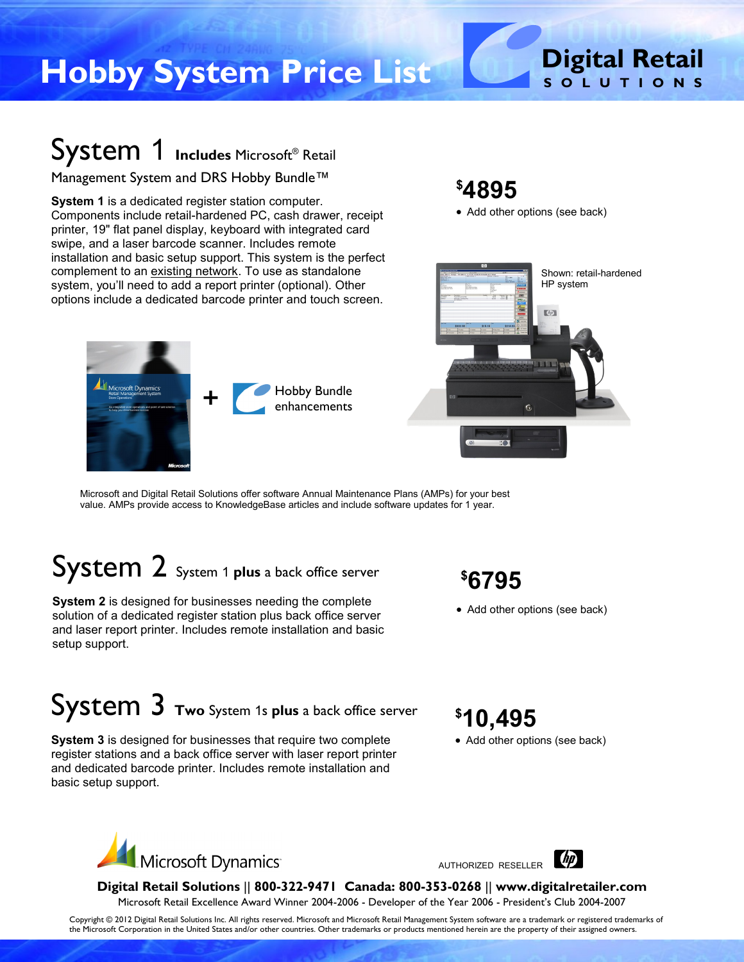# **Digital Retail Hobby System Price List S O L U T I O N S**

## System 1 **Includes** Microsoft® Retail

#### Management System and DRS Hobby Bundle™

licrosoft Dynamics<br>tail Managment System

**System 1** is a dedicated register station computer. Components include retail-hardened PC, cash drawer, receipt printer, 19" flat panel display, keyboard with integrated card swipe, and a laser barcode scanner. Includes remote installation and basic setup support. This system is the perfect complement to an existing network. To use as standalone system, you'll need to add a report printer (optional). Other options include a dedicated barcode printer and touch screen.

### **\$4895**

• Add other options (see back)



Microsoft and Digital Retail Solutions offer software Annual Maintenance Plans (AMPs) for your best value. AMPs provide access to KnowledgeBase articles and include software updates for 1 year.

## System 2 System <sup>1</sup> **plus** a back office server

**System 2** is designed for businesses needing the complete solution of a dedicated register station plus back office server and laser report printer. Includes remote installation and basic setup support.

#### **\$6795**

• Add other options (see back)

## System 3 **Two** System 1s **plus** a back office server

**System 3** is designed for businesses that require two complete register stations and a back office server with laser report printer and dedicated barcode printer. Includes remote installation and basic setup support.

### **\$10,495**

• Add other options (see back)



AUTHORIZED RESELLER



**Digital Retail Solutions** || **800-322-9471 Canada: 800-353-0268** || **www.digitalretailer.com** Microsoft Retail Excellence Award Winner 2004-2006 - Developer of the Year 2006 - President's Club 2004-2007

Copyright © 2012 Digital Retail Solutions Inc. All rights reserved. Microsoft and Microsoft Retail Management System software are a trademark or registered trademarks of the Microsoft Corporation in the United States and/or other countries. Other trademarks or products mentioned herein are the property of their assigned owners.